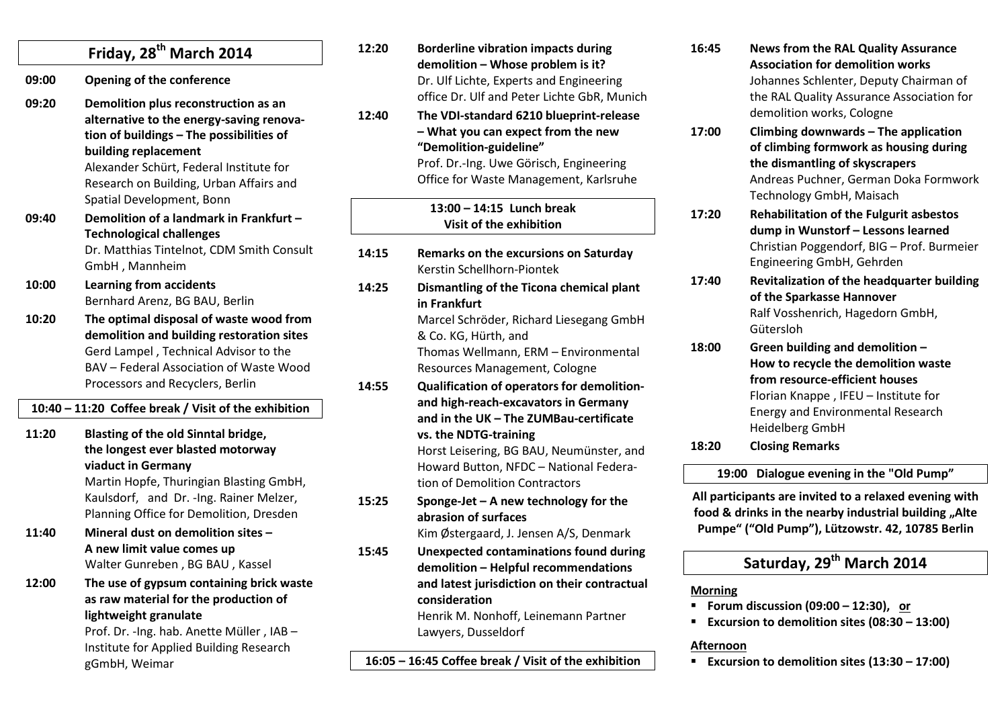|                                                      | Friday, 28 <sup>th</sup> March 2014                                                                                                                                                                                                                                     |  |
|------------------------------------------------------|-------------------------------------------------------------------------------------------------------------------------------------------------------------------------------------------------------------------------------------------------------------------------|--|
| 09:00                                                | <b>Opening of the conference</b>                                                                                                                                                                                                                                        |  |
| 09:20                                                | Demolition plus reconstruction as an<br>alternative to the energy-saving renova-<br>tion of buildings - The possibilities of<br>building replacement<br>Alexander Schürt, Federal Institute for<br>Research on Building, Urban Affairs and<br>Spatial Development, Bonn |  |
| 09:40                                                | Demolition of a landmark in Frankfurt -<br><b>Technological challenges</b><br>Dr. Matthias Tintelnot, CDM Smith Consult<br>GmbH, Mannheim                                                                                                                               |  |
| 10:00                                                | <b>Learning from accidents</b><br>Bernhard Arenz, BG BAU, Berlin                                                                                                                                                                                                        |  |
| 10:20                                                | The optimal disposal of waste wood from<br>demolition and building restoration sites<br>Gerd Lampel, Technical Advisor to the<br>BAV - Federal Association of Waste Wood<br>Processors and Recyclers, Berlin                                                            |  |
| 10:40 - 11:20 Coffee break / Visit of the exhibition |                                                                                                                                                                                                                                                                         |  |
| 11:20                                                | <b>Blasting of the old Sinntal bridge,</b><br>the longest ever blasted motorway<br>viaduct in Germany<br>Martin Hopfe, Thuringian Blasting GmbH,<br>Kaulsdorf, and Dr. - Ing. Rainer Melzer,<br>Planning Office for Demolition, Dresden                                 |  |
| 11:40                                                | Mineral dust on demolition sites -<br>A new limit value comes up<br>Walter Gunreben, BG BAU, Kassel                                                                                                                                                                     |  |
| 12:00                                                | The use of gypsum containing brick waste<br>as raw material for the production of<br>lightweight granulate<br>Prof. Dr. - Ing. hab. Anette Müller, IAB-<br>Institute for Applied Building Research<br>gGmbH, Weimar                                                     |  |

| 12:20 | <b>Borderline vibration impacts during</b><br>demolition - Whose problem is it?<br>Dr. Ulf Lichte, Experts and Engineering<br>office Dr. Ulf and Peter Lichte GbR, Munich                                                                                                     |
|-------|-------------------------------------------------------------------------------------------------------------------------------------------------------------------------------------------------------------------------------------------------------------------------------|
| 12:40 | The VDI-standard 6210 blueprint-release<br>- What you can expect from the new<br>"Demolition-guideline"<br>Prof. Dr.-Ing. Uwe Görisch, Engineering<br>Office for Waste Management, Karlsruhe                                                                                  |
|       | $13:00 - 14:15$ Lunch break<br>Visit of the exhibition                                                                                                                                                                                                                        |
| 14:15 | Remarks on the excursions on Saturday<br>Kerstin Schellhorn-Piontek                                                                                                                                                                                                           |
| 14:25 | Dismantling of the Ticona chemical plant<br>in Frankfurt<br>Marcel Schröder, Richard Liesegang GmbH<br>& Co. KG, Hürth, and<br>Thomas Wellmann, ERM - Environmental<br>Resources Management, Cologne                                                                          |
| 14:55 | Qualification of operators for demolition-<br>and high-reach-excavators in Germany<br>and in the UK - The ZUMBau-certificate<br>vs. the NDTG-training<br>Horst Leisering, BG BAU, Neumünster, and<br>Howard Button, NFDC - National Federa-<br>tion of Demolition Contractors |
| 15:25 | Sponge-Jet $-$ A new technology for the<br>abrasion of surfaces<br>Kim Østergaard, J. Jensen A/S, Denmark                                                                                                                                                                     |
| 15:45 | <b>Unexpected contaminations found during</b><br>demolition - Helpful recommendations<br>and latest jurisdiction on their contractual<br>consideration<br>Henrik M. Nonhoff, Leinemann Partner<br>Lawyers, Dusseldorf                                                         |

| 16:45 | <b>News from the RAL Quality Assurance</b>     |
|-------|------------------------------------------------|
|       | <b>Association for demolition works</b>        |
|       | Johannes Schlenter, Deputy Chairman of         |
|       | the RAL Quality Assurance Association for      |
|       | demolition works, Cologne                      |
| 17:00 | Climbing downwards - The application           |
|       | of climbing formwork as housing during         |
|       | the dismantling of skyscrapers                 |
|       | Andreas Puchner, German Doka Formwork          |
|       | Technology GmbH, Maisach                       |
| 17:20 | <b>Rehabilitation of the Fulgurit asbestos</b> |
|       | dump in Wunstorf - Lessons learned             |
|       | Christian Poggendorf, BIG - Prof. Burmeier     |
|       |                                                |

**17:40 Revitalization of the headquarter building of the Sparkasse Hannover** Ralf Vosshenrich, Hagedorn GmbH, Gütersloh

Engineering GmbH, Gehrden

**18:00 Green building and demolition – How to recycle the demolition waste from resource-efficient houses**  Florian Knappe , IFEU – Institute for Energy and Environmental Research Heidelberg GmbH

**18:20 Closing Remarks** 

#### **19:00 Dialogue evening in the "Old Pump"**

**All participants are invited to a relaxed evening with** food & drinks in the nearby industrial building "Alte **Pumpe" ("Old Pump"), Lützowstr. 42, 10785 Berlin** 

# **Saturday, 29th March 2014**

#### **Morning**

- **Forum discussion (09:00 12:30), or**
- **Excursion to demolition sites (08:30 13:00)**

#### **Afternoon**

**Excursion to demolition sites (13:30 – 17:00)**